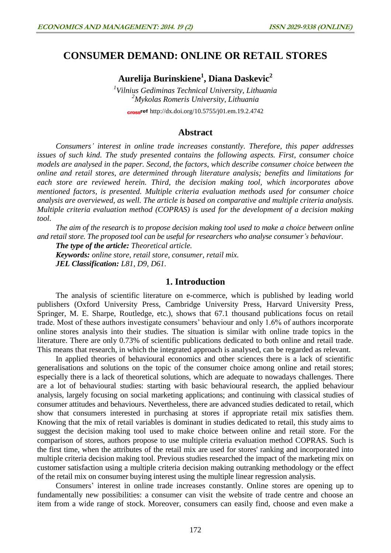# **CONSUMER DEMAND: ONLINE OR RETAIL STORES**

**Aurelija Burinskiene<sup>1</sup> , Diana Daskevic<sup>2</sup>**

*1 Vilnius Gediminas Technical University, Lithuania <sup>2</sup>Mykolas Romeris University, Lithuania*

cross<sup>ref</sup> <http://dx.doi.org/10.5755/j01.em.19.2.4742>

## **Abstract**

*Consumers' interest in online trade increases constantly. Therefore, this paper addresses issues of such kind. The study presented contains the following aspects. First, consumer choice models are analysed in the paper. Second, the factors, which describe consumer choice between the online and retail stores, are determined through literature analysis; benefits and limitations for each store are reviewed herein. Third, the decision making tool, which incorporates above mentioned factors, is presented. Multiple criteria evaluation methods used for consumer choice analysis are overviewed, as well. The article is based on comparative and multiple criteria analysis. Multiple criteria evaluation method (COPRAS) is used for the development of a decision making tool.*

*The aim of the research is to propose decision making tool used to make a choice between online and retail store. The proposed tool can be useful for researchers who analyse consumer's behaviour.*

*The type of the article: Theoretical article.*

*Keywords: online store, retail store, consumer, retail mix. JEL Classification: L81, D9, D61.*

### **1. Introduction**

The analysis of scientific literature on e-commerce, which is published by leading world publishers (Oxford University Press, Cambridge University Press, Harvard University Press, Springer, M. E. Sharpe, Routledge, etc.), shows that 67.1 thousand publications focus on retail trade. Most of these authors investigate consumers' behaviour and only 1.6% of authors incorporate online stores analysis into their studies. The situation is similar with online trade topics in the literature. There are only 0.73% of scientific publications dedicated to both online and retail trade. This means that research, in which the integrated approach is analysed, can be regarded as relevant.

In applied theories of behavioural economics and other sciences there is a lack of scientific generalisations and solutions on the topic of the consumer choice among online and retail stores; especially there is a lack of theoretical solutions, which are adequate to nowadays challenges. There are a lot of behavioural studies: starting with basic behavioural research, the applied behaviour analysis, largely focusing on social marketing applications; and continuing with classical studies of consumer attitudes and behaviours. Nevertheless, there are advanced studies dedicated to retail, which show that consumers interested in purchasing at stores if appropriate retail mix satisfies them. Knowing that the mix of retail variables is dominant in studies dedicated to retail, this study aims to suggest the decision making tool used to make choice between online and retail store. For the comparison of stores, authors propose to use multiple criteria evaluation method COPRAS. Such is the first time, when the attributes of the retail mix are used for stores' ranking and incorporated into multiple criteria decision making tool. Previous studies researched the impact of the marketing mix on customer satisfaction using a multiple criteria decision making outranking methodology or the effect of the retail mix on consumer buying interest using the multiple linear regression analysis.

Consumers' interest in online trade increases constantly. Online stores are opening up to fundamentally new possibilities: a consumer can visit the website of trade centre and choose an item from a wide range of stock. Moreover, consumers can easily find, choose and even make a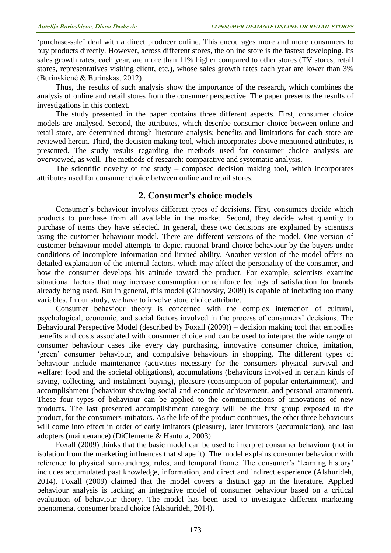'purchase-sale' deal with a direct producer online. This encourages more and more consumers to buy products directly. However, across different stores, the online store is the fastest developing. Its sales growth rates, each year, are more than 11% higher compared to other stores (TV stores, retail stores, representatives visiting client, etc.), whose sales growth rates each year are lower than 3% (Burinskienė & Burinskas, 2012).

Thus, the results of such analysis show the importance of the research, which combines the analysis of online and retail stores from the consumer perspective. The paper presents the results of investigations in this context.

The study presented in the paper contains three different aspects. First, consumer choice models are analysed. Second, the attributes, which describe consumer choice between online and retail store, are determined through literature analysis; benefits and limitations for each store are reviewed herein. Third, the decision making tool, which incorporates above mentioned attributes, is presented. The study results regarding the methods used for consumer choice analysis are overviewed, as well. The methods of research: comparative and systematic analysis.

The scientific novelty of the study – composed decision making tool, which incorporates attributes used for consumer choice between online and retail stores.

## **2. Consumer's choice models**

Consumer's behaviour involves different types of decisions. First, consumers decide which products to purchase from all available in the market. Second, they decide what quantity to purchase of items they have selected. In general, these two decisions are explained by scientists using the customer behaviour model. There are different versions of the model. One version of customer behaviour model attempts to depict rational brand choice behaviour by the buyers under conditions of incomplete information and limited ability. Another version of the model offers no detailed explanation of the internal factors, which may affect the personality of the consumer, and how the consumer develops his attitude toward the product. For example, scientists examine situational factors that may increase consumption or reinforce feelings of satisfaction for brands already being used. But in general, this model (Gluhovsky, 2009) is capable of including too many variables. In our study, we have to involve store choice attribute.

Consumer behaviour theory is concerned with the complex interaction of cultural, psychological, economic, and social factors involved in the process of consumers' decisions. The Behavioural Perspective Model (described by Foxall (2009)) – decision making tool that embodies benefits and costs associated with consumer choice and can be used to interpret the wide range of consumer behaviour cases like every day purchasing, innovative consumer choice, imitation, 'green' consumer behaviour, and compulsive behaviours in shopping. The different types of behaviour include maintenance (activities necessary for the consumers physical survival and welfare: food and the societal obligations), accumulations (behaviours involved in certain kinds of saving, collecting, and instalment buying), pleasure (consumption of popular entertainment), and accomplishment (behaviour showing social and economic achievement, and personal attainment). These four types of behaviour can be applied to the communications of innovations of new products. The last presented accomplishment category will be the first group exposed to the product, for the consumers-initiators. As the life of the product continues, the other three behaviours will come into effect in order of early imitators (pleasure), later imitators (accumulation), and last adopters (maintenance) (DiClemente & Hantula, 2003).

Foxall (2009) thinks that the basic model can be used to interpret consumer behaviour (not in isolation from the marketing influences that shape it). The model explains consumer behaviour with reference to physical surroundings, rules, and temporal frame. The consumer's 'learning history' includes accumulated past knowledge, information, and direct and indirect experience (Alshurideh, 2014). Foxall (2009) claimed that the model covers a distinct gap in the literature. Applied behaviour analysis is lacking an integrative model of consumer behaviour based on a critical evaluation of behaviour theory. The model has been used to investigate different marketing phenomena, consumer brand choice (Alshurideh, 2014).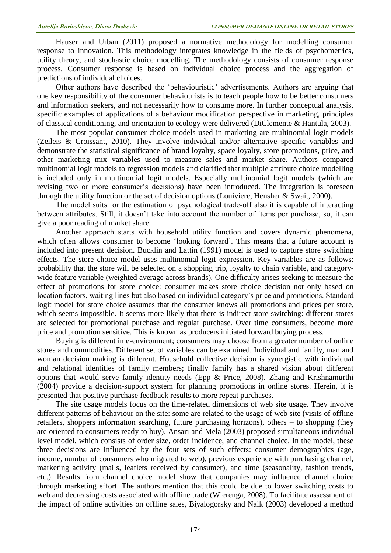Hauser and Urban (2011) proposed a normative methodology for modelling consumer response to innovation. This methodology integrates knowledge in the fields of psychometrics, utility theory, and stochastic choice modelling. The methodology consists of consumer response process. Consumer response is based on individual choice process and the aggregation of predictions of individual choices.

Other authors have described the 'behaviouristic' advertisements. Authors are arguing that one key responsibility of the consumer behaviourists is to teach people how to be better consumers and information seekers, and not necessarily how to consume more. In further conceptual analysis, specific examples of applications of a behaviour modification perspective in marketing, principles of classical conditioning, and orientation to ecology were delivered (DiClemente & Hantula, 2003).

The most popular consumer choice models used in marketing are multinomial logit models (Zeileis & Croissant, 2010). They involve individual and/or alternative specific variables and demonstrate the statistical significance of brand loyalty, space loyalty, store promotions, price, and other marketing mix variables used to measure sales and market share. Authors compared multinomial logit models to regression models and clarified that multiple attribute choice modelling is included only in multinomial logit models. Especially multinomial logit models (which are revising two or more consumer's decisions) have been introduced. The integration is foreseen through the utility function or the set of decision options (Louiviere, Hensher & Swait, 2000).

The model suits for the estimation of psychological trade-off also it is capable of interacting between attributes. Still, it doesn't take into account the number of items per purchase, so, it can give a poor reading of market share.

Another approach starts with household utility function and covers dynamic phenomena, which often allows consumer to become 'looking forward'. This means that a future account is included into present decision. Bucklin and Lattin (1991) model is used to capture store switching effects. The store choice model uses multinomial logit expression. Key variables are as follows: probability that the store will be selected on a shopping trip, loyalty to chain variable, and categorywide feature variable (weighted average across brands). One difficulty arises seeking to measure the effect of promotions for store choice: consumer makes store choice decision not only based on location factors, waiting lines but also based on individual category's price and promotions. Standard logit model for store choice assumes that the consumer knows all promotions and prices per store, which seems impossible. It seems more likely that there is indirect store switching: different stores are selected for promotional purchase and regular purchase. Over time consumers, become more price and promotion sensitive. This is known as producers initiated forward buying process.

Buying is different in e-environment; consumers may choose from a greater number of online stores and commodities. Different set of variables can be examined. Individual and family, man and woman decision making is different. Household collective decision is synergistic with individual and relational identities of family members; finally family has a shared vision about different options that would serve family identity needs (Epp & Price, 2008). Zhang and Krishnamurthi (2004) provide a decision-support system for planning promotions in online stores. Herein, it is presented that positive purchase feedback results to more repeat purchases.

The site usage models focus on the time-related dimensions of web site usage. They involve different patterns of behaviour on the site: some are related to the usage of web site (visits of offline retailers, shoppers information searching, future purchasing horizons), others – to shopping (they are oriented to consumers ready to buy). Ansari and Mela (2003) proposed simultaneous individual level model, which consists of order size, order incidence, and channel choice. In the model, these three decisions are influenced by the four sets of such effects: consumer demographics (age, income, number of consumers who migrated to web), previous experience with purchasing channel, marketing activity (mails, leaflets received by consumer), and time (seasonality, fashion trends, etc.). Results from channel choice model show that companies may influence channel choice through marketing effort. The authors mention that this could be due to lower switching costs to web and decreasing costs associated with offline trade (Wierenga, 2008). To facilitate assessment of the impact of online activities on offline sales, Biyalogorsky and Naik (2003) developed a method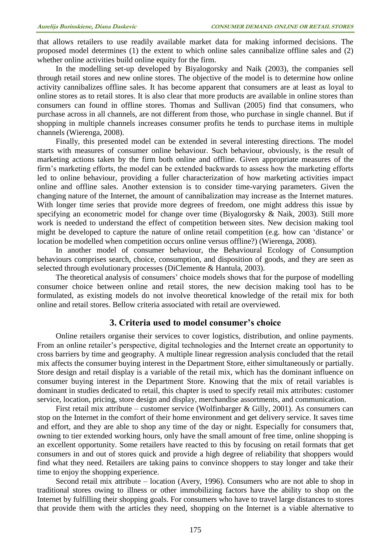that allows retailers to use readily available market data for making informed decisions. The proposed model determines (1) the extent to which online sales cannibalize offline sales and (2) whether online activities build online equity for the firm.

In the modelling set-up developed by Biyalogorsky and Naik (2003), the companies sell through retail stores and new online stores. The objective of the model is to determine how online activity cannibalizes offline sales. It has become apparent that consumers are at least as loyal to online stores as to retail stores. It is also clear that more products are available in online stores than consumers can found in offline stores. Thomas and Sullivan (2005) find that consumers, who purchase across in all channels, are not different from those, who purchase in single channel. But if shopping in multiple channels increases consumer profits he tends to purchase items in multiple channels (Wierenga, 2008).

Finally, this presented model can be extended in several interesting directions. The model starts with measures of consumer online behaviour. Such behaviour, obviously, is the result of marketing actions taken by the firm both online and offline. Given appropriate measures of the firm's marketing efforts, the model can be extended backwards to assess how the marketing efforts led to online behaviour, providing a fuller characterization of how marketing activities impact online and offline sales. Another extension is to consider time-varying parameters. Given the changing nature of the Internet, the amount of cannibalization may increase as the Internet matures. With longer time series that provide more degrees of freedom, one might address this issue by specifying an econometric model for change over time (Biyalogorsky & Naik, 2003). Still more work is needed to understand the effect of competition between sites. New decision making tool might be developed to capture the nature of online retail competition (e.g. how can 'distance' or location be modelled when competition occurs online versus offline?) (Wierenga, 2008).

In another model of consumer behaviour, the Behavioural Ecology of Consumption behaviours comprises search, choice, consumption, and disposition of goods, and they are seen as selected through evolutionary processes (DiClemente & Hantula, 2003).

The theoretical analysis of consumers' choice models shows that for the purpose of modelling consumer choice between online and retail stores, the new decision making tool has to be formulated, as existing models do not involve theoretical knowledge of the retail mix for both online and retail stores. Bellow criteria associated with retail are overviewed.

## **3. Criteria used to model consumer's choice**

Online retailers organise their services to cover logistics, distribution, and online payments. From an online retailer's perspective, digital technologies and the Internet create an opportunity to cross barriers by time and geography. A multiple linear regression analysis concluded that the retail mix affects the consumer buying interest in the Department Store, either simultaneously or partially. Store design and retail display is a variable of the retail mix, which has the dominant influence on consumer buying interest in the Department Store. Knowing that the mix of retail variables is dominant in studies dedicated to retail, this chapter is used to specify retail mix attributes: customer service, location, pricing, store design and display, merchandise assortments, and communication.

First retail mix attribute – customer service (Wolfinbarger & Gilly, 2001). As consumers can stop on the Internet in the comfort of their home environment and get delivery service. It saves time and effort, and they are able to shop any time of the day or night. Especially for consumers that, owning to tier extended working hours, only have the small amount of free time, online shopping is an excellent opportunity. Some retailers have reacted to this by focusing on retail formats that get consumers in and out of stores quick and provide a high degree of reliability that shoppers would find what they need. Retailers are taking pains to convince shoppers to stay longer and take their time to enjoy the shopping experience.

Second retail mix attribute – location (Avery, 1996). Consumers who are not able to shop in traditional stores owing to illness or other immobilizing factors have the ability to shop on the Internet by fulfilling their shopping goals. For consumers who have to travel large distances to stores that provide them with the articles they need, shopping on the Internet is a viable alternative to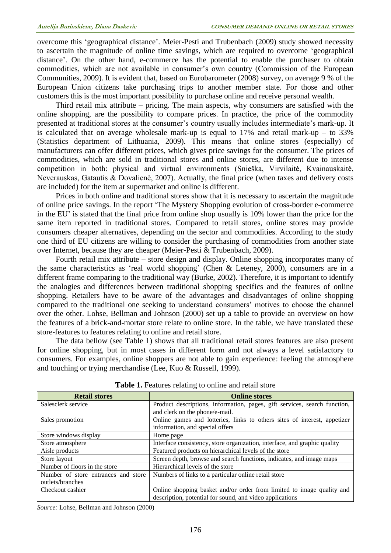overcome this 'geographical distance'. Meier-Pesti and Trubenbach (2009) study showed necessity to ascertain the magnitude of online time savings, which are required to overcome 'geographical distance'. On the other hand, e-commerce has the potential to enable the purchaser to obtain commodities, which are not available in consumer's own country (Commission of the European Communities, 2009). It is evident that, based on Eurobarometer (2008) survey, on average 9 % of the European Union citizens take purchasing trips to another member state. For those and other customers this is the most important possibility to purchase online and receive personal wealth.

Third retail mix attribute – pricing. The main aspects, why consumers are satisfied with the online shopping, are the possibility to compare prices. In practice, the price of the commodity presented at traditional stores at the consumer's country usually includes intermediate's mark-up. It is calculated that on average wholesale mark-up is equal to  $17\%$  and retail mark-up – to  $33\%$ (Statistics department of Lithuania, 2009). This means that online stores (especially) of manufacturers can offer different prices, which gives price savings for the consumer. The prices of commodities, which are sold in traditional stores and online stores, are different due to intense competition in both: physical and virtual environments (Snieška, Virvilaitė, Kvainauskaitė, Neverauskas, Gatautis & Dovalienė, 2007). Actually, the final price (when taxes and delivery costs are included) for the item at supermarket and online is different.

Prices in both online and traditional stores show that it is necessary to ascertain the magnitude of online price savings. In the report 'The Mystery Shopping evolution of cross-border e-commerce in the EU' is stated that the final price from online shop usually is 10% lower than the price for the same item reported in traditional stores. Compared to retail stores, online stores may provide consumers cheaper alternatives, depending on the sector and commodities. According to the study one third of EU citizens are willing to consider the purchasing of commodities from another state over Internet, because they are cheaper (Meier-Pesti & Trubenbach, 2009).

Fourth retail mix attribute – store design and display. Online shopping incorporates many of the same characteristics as 'real world shopping' (Chen & Leteney, 2000), consumers are in a different frame comparing to the traditional way (Burke, 2002). Therefore, it is important to identify the analogies and differences between traditional shopping specifics and the features of online shopping. Retailers have to be aware of the advantages and disadvantages of online shopping compared to the traditional one seeking to understand consumers' motives to choose the channel over the other. Lohse, Bellman and Johnson (2000) set up a table to provide an overview on how the features of a brick-and-mortar store relate to online store. In the table, we have translated these store-features to features relating to online and retail store.

The data bellow (see Table 1) shows that all traditional retail stores features are also present for online shopping, but in most cases in different form and not always a level satisfactory to consumers. For examples, online shoppers are not able to gain experience: feeling the atmosphere and touching or trying merchandise (Lee, Kuo & Russell, 1999).

| <b>Retail stores</b>                | <b>Online stores</b>                                                      |
|-------------------------------------|---------------------------------------------------------------------------|
| Salesclerk service                  | Product descriptions, information, pages, gift services, search function, |
|                                     | and clerk on the phone/e-mail.                                            |
| Sales promotion                     | Online games and lotteries, links to others sites of interest, appetizer  |
|                                     | information, and special offers                                           |
| Store windows display               | Home page                                                                 |
| Store atmosphere                    | Interface consistency, store organization, interface, and graphic quality |
| Aisle products                      | Featured products on hierarchical levels of the store                     |
| Store layout                        | Screen depth, browse and search functions, indicates, and image maps      |
| Number of floors in the store       | Hierarchical levels of the store                                          |
| Number of store entrances and store | Numbers of links to a particular online retail store                      |
| outlets/branches                    |                                                                           |
| Checkout cashier                    | Online shopping basket and/or order from limited to image quality and     |
|                                     | description, potential for sound, and video applications                  |

**Table 1.** Features relating to online and retail store

*Source:* Lohse, Bellman and Johnson (2000)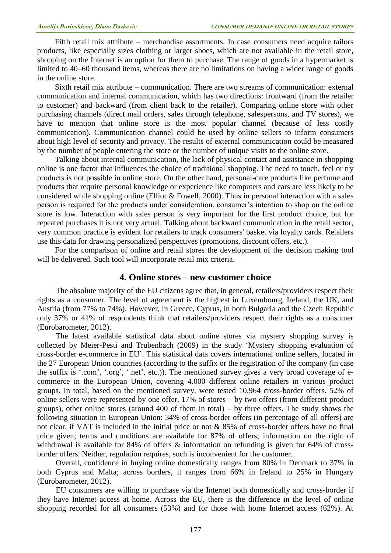Fifth retail mix attribute – merchandise assortments. In case consumers need acquire tailors products, like especially sizes clothing or larger shoes, which are not available in the retail store, shopping on the Internet is an option for them to purchase. The range of goods in a hypermarket is limited to 40–60 thousand items, whereas there are no limitations on having a wider range of goods in the online store.

Sixth retail mix attribute – communication. There are two streams of communication: external communication and internal communication, which has two directions: frontward (from the retailer to customer) and backward (from client back to the retailer). Comparing online store with other purchasing channels (direct mail orders, sales through telephone, salespersons, and TV stores), we have to mention that online store is the most popular channel (because of less costly communication). Communication channel could be used by online sellers to inform consumers about high level of security and privacy. The results of external communication could be measured by the number of people entering the store or the number of unique visits to the online store.

Talking about internal communication, the lack of physical contact and assistance in shopping online is one factor that influences the choice of traditional shopping. The need to touch, feel or try products is not possible in online store. On the other hand, personal-care products like perfume and products that require personal knowledge or experience like computers and cars are less likely to be considered while shopping online (Elliot & Fowell, 2000). Thus in personal interaction with a sales person is required for the products under consideration, consumer's intention to shop on the online store is low. Interaction with sales person is very important for the first product choice, but for repeated purchases it is not very actual. Talking about backward communication in the retail sector, very common practice is evident for retailers to track consumers' basket via loyalty cards. Retailers use this data for drawing personalized perspectives (promotions, discount offers, etc.).

For the comparison of online and retail stores the development of the decision making tool will be delivered. Such tool will incorporate retail mix criteria.

## **4. Online stores – new customer choice**

The absolute majority of the EU citizens agree that, in general, retailers/providers respect their rights as a consumer. The level of agreement is the highest in Luxembourg, Ireland, the UK, and Austria (from 77% to 74%). However, in Greece, Cyprus, in both Bulgaria and the Czech Republic only 37% or 41% of respondents think that retailers/providers respect their rights as a consumer (Eurobarometer, 2012).

The latest available statistical data about online stores via mystery shopping survey is collected by Meier-Pesti and Trubenbach (2009) in the study 'Mystery shopping evaluation of cross-border e-commerce in EU'. This statistical data covers international online sellers, located in the 27 European Union countries (according to the suffix or the registration of the company (in case the suffix is '.com', '.org', '.net', etc.)). The mentioned survey gives a very broad coverage of ecommerce in the European Union, covering 4.000 different online retailers in various product groups. In total, based on the mentioned survey, were tested 10.964 cross-border offers. 52% of online sellers were represented by one offer, 17% of stores – by two offers (from different product groups), other online stores (around 400 of them in total) – by three offers. The study shows the following situation in European Union: 34% of cross-border offers (in percentage of all offers) are not clear, if VAT is included in the initial price or not & 85% of cross-border offers have no final price given; terms and conditions are available for 87% of offers; information on the right of withdrawal is available for 84% of offers & information on refunding is given for 64% of crossborder offers. Neither, regulation requires, such is inconvenient for the customer.

Overall, confidence in buying online domestically ranges from 80% in Denmark to 37% in both Cyprus and Malta; across borders, it ranges from 66% in Ireland to 25% in Hungary (Eurobarometer, 2012).

EU consumers are willing to purchase via the Internet both domestically and cross-border if they have Internet access at home. Across the EU, there is the difference in the level of online shopping recorded for all consumers (53%) and for those with home Internet access (62%). At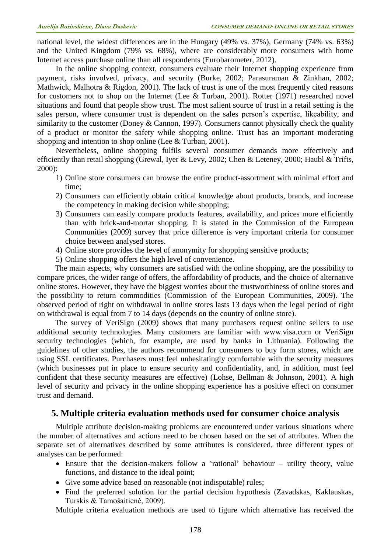national level, the widest differences are in the Hungary (49% vs. 37%), Germany (74% vs. 63%) and the United Kingdom (79% vs. 68%), where are considerably more consumers with home Internet access purchase online than all respondents (Eurobarometer, 2012).

In the online shopping context, consumers evaluate their Internet shopping experience from payment, risks involved, privacy, and security (Burke, 2002; Parasuraman & Zinkhan, 2002; Mathwick, Malhotra & Rigdon, 2001). The lack of trust is one of the most frequently cited reasons for customers not to shop on the Internet (Lee & Turban, 2001). Rotter (1971) researched novel situations and found that people show trust. The most salient source of trust in a retail setting is the sales person, where consumer trust is dependent on the sales person's expertise, likeability, and similarity to the customer (Doney & Cannon, 1997). Consumers cannot physically check the quality of a product or monitor the safety while shopping online. Trust has an important moderating shopping and intention to shop online (Lee & Turban, 2001).

Nevertheless, online shopping fulfils several consumer demands more effectively and efficiently than retail shopping (Grewal, Iyer & Levy, 2002; Chen & Leteney, 2000; Haubl & Trifts, 2000):

- 1) Online store consumers can browse the entire product-assortment with minimal effort and time;
- 2) Consumers can efficiently obtain critical knowledge about products, brands, and increase the competency in making decision while shopping;
- 3) Consumers can easily compare products features, availability, and prices more efficiently than with brick-and-mortar shopping. It is stated in the Commission of the European Communities (2009) survey that price difference is very important criteria for consumer choice between analysed stores.
- 4) Online store provides the level of anonymity for shopping sensitive products;
- 5) Online shopping offers the high level of convenience.

The main aspects, why consumers are satisfied with the online shopping, are the possibility to compare prices, the wider range of offers, the affordability of products, and the choice of alternative online stores. However, they have the biggest worries about the trustworthiness of online stores and the possibility to return commodities (Commission of the European Communities, 2009). The observed period of right on withdrawal in online stores lasts 13 days when the legal period of right on withdrawal is equal from 7 to 14 days (depends on the country of online store).

The survey of VeriSign (2009) shows that many purchasers request online sellers to use additional security technologies. Many customers are familiar with www.visa.com or VeriSign security technologies (which, for example, are used by banks in Lithuania). Following the guidelines of other studies, the authors recommend for consumers to buy form stores, which are using SSL certificates. Purchasers must feel unhesitatingly comfortable with the security measures (which businesses put in place to ensure security and confidentiality, and, in addition, must feel confident that these security measures are effective) (Lohse, Bellman & Johnson, 2001). A high level of security and privacy in the online shopping experience has a positive effect on consumer trust and demand.

## **5. Multiple criteria evaluation methods used for consumer choice analysis**

Multiple attribute decision-making problems are encountered under various situations where the number of alternatives and actions need to be chosen based on the set of attributes. When the separate set of alternatives described by some attributes is considered, three different types of analyses can be performed:

- Ensure that the decision-makers follow a 'rational' behaviour utility theory, value functions, and distance to the ideal point;
- Give some advice based on reasonable (not indisputable) rules;
- Find the preferred solution for the partial decision hypothesis (Zavadskas, Kaklauskas, Turskis & Tamošaitienė, 2009).

Multiple criteria evaluation methods are used to figure which alternative has received the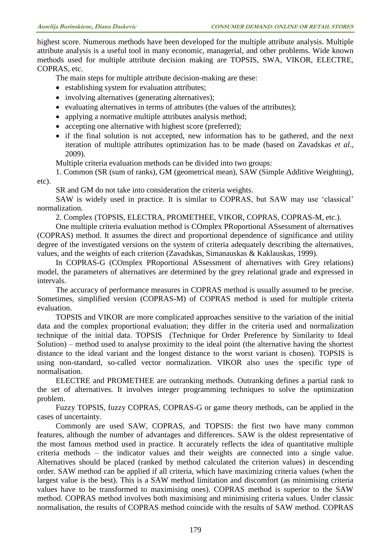highest score. Numerous methods have been developed for the multiple attribute analysis. Multiple attribute analysis is a useful tool in many economic, managerial, and other problems. Wide known methods used for multiple attribute decision making are TOPSIS, SWA, VIKOR, ELECTRE, COPRAS, etc.

The main steps for multiple attribute decision-making are these:

- establishing system for evaluation attributes;
- involving alternatives (generating alternatives);
- evaluating alternatives in terms of attributes (the values of the attributes);
- applying a normative multiple attributes analysis method;
- accepting one alternative with highest score (preferred);
- if the final solution is not accepted, new information has to be gathered, and the next iteration of multiple attributes optimization has to be made (based on Zavadskas *et al*., 2009).

Multiple criteria evaluation methods can be divided into two groups:

1. Common (SR (sum of ranks), GM (geometrical mean), SAW (Simple Additive Weighting), etc).

SR and GM do not take into consideration the criteria weights.

SAW is widely used in practice. It is similar to COPRAS, but SAW may use 'classical' normalization.

2. Complex (TOPSIS, ELECTRA, PROMETHEE, VIKOR, COPRAS, COPRAS-M, etc.).

One multiple criteria evaluation method is COmplex PRoportional ASsessment of alternatives (COPRAS) method. It assumes the direct and proportional dependence of significance and utility degree of the investigated versions on the system of criteria adequately describing the alternatives, values, and the weights of each criterion (Zavadskas, Simanauskas & Kaklauskas, 1999).

In COPRAS-G (COmplex PRoportional ASsessment of alternatives with Grey relations) model, the parameters of alternatives are determined by the grey relational grade and expressed in intervals.

The accuracy of performance measures in COPRAS method is usually assumed to be precise. Sometimes, simplified version (COPRAS-M) of COPRAS method is used for multiple criteria evaluation.

TOPSIS and VIKOR are more complicated approaches sensitive to the variation of the initial data and the complex proportional evaluation; they differ in the criteria used and normalization technique of the initial data. TOPSIS (Technique for Order Preference by Similarity to Ideal Solution) – method used to analyse proximity to the ideal point (the alternative having the shortest distance to the ideal variant and the longest distance to the worst variant is chosen). TOPSIS is using non-standard, so-called vector normalization. VIKOR also uses the specific type of normalisation.

ELECTRE and PROMETHEE are outranking methods. Outranking defines a partial rank to the set of alternatives. It involves integer programming techniques to solve the optimization problem.

Fuzzy TOPSIS, fuzzy COPRAS, COPRAS-G or game theory methods, can be applied in the cases of uncertainty.

Commonly are used SAW, COPRAS, and TOPSIS: the first two have many common features, although the number of advantages and differences. SAW is the oldest representative of the most famous method used in practice. It accurately reflects the idea of quantitative multiple criteria methods – the indicator values and their weights are connected into a single value. Alternatives should be placed (ranked by method calculated the criterion values) in descending order. SAW method can be applied if all criteria, which have maximizing criteria values (when the largest value is the best). This is a SAW method limitation and discomfort (as minimising criteria values have to be transformed to maximising ones). COPRAS method is superior to the SAW method. COPRAS method involves both maximising and minimising criteria values. Under classic normalisation, the results of COPRAS method coincide with the results of SAW method. COPRAS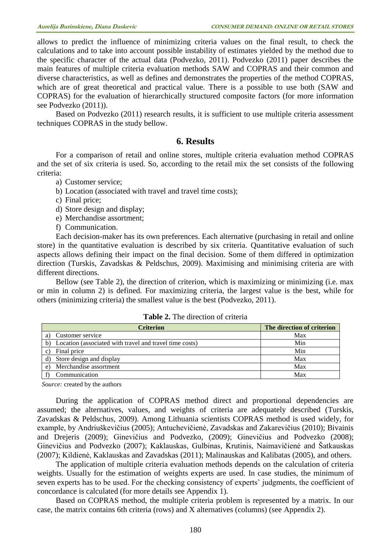allows to predict the influence of minimizing criteria values on the final result, to check the calculations and to take into account possible instability of estimates yielded by the method due to the specific character of the actual data (Podvezko, 2011). Podvezko (2011) paper describes the main features of multiple criteria evaluation methods SAW and COPRAS and their common and diverse characteristics, as well as defines and demonstrates the properties of the method COPRAS, which are of great theoretical and practical value. There is a possible to use both (SAW and COPRAS) for the evaluation of hierarchically structured composite factors (for more information see Podvezko (2011)).

Based on Podvezko (2011) research results, it is sufficient to use multiple criteria assessment techniques COPRAS in the study bellow.

## **6. Results**

For a comparison of retail and online stores, multiple criteria evaluation method COPRAS and the set of six criteria is used. So, according to the retail mix the set consists of the following criteria:

a) Customer service;

- b) Location (associated with travel and travel time costs);
- c) Final price;
- d) Store design and display;
- e) Merchandise assortment;
- f) Communication.

Each decision-maker has its own preferences. Each alternative (purchasing in retail and online store) in the quantitative evaluation is described by six criteria. Quantitative evaluation of such aspects allows defining their impact on the final decision. Some of them differed in optimization direction (Turskis, Zavadskas & Peldschus, 2009). Maximising and minimising criteria are with different directions.

Bellow (see Table 2), the direction of criterion, which is maximizing or minimizing (i.e. max or min in column 2) is defined. For maximizing criteria, the largest value is the best, while for others (minimizing criteria) the smallest value is the best (Podvezko, 2011).

| Criterion                                                     | The direction of criterion |
|---------------------------------------------------------------|----------------------------|
| Customer service                                              | Max                        |
| Location (associated with travel and travel time costs)<br>b) | Min                        |
| Final price                                                   | Min                        |
| Store design and display                                      | Max                        |
| Merchandise assortment<br>e)                                  | Max                        |
| Communication                                                 | Max                        |

**Table 2.** The direction of criteria

*Source:* created by the authors

During the application of COPRAS method direct and proportional dependencies are assumed; the alternatives, values, and weights of criteria are adequately described (Turskis, Zavadskas & Peldschus, 2009). Among Lithuania scientists COPRAS method is used widely, for example, by Andriuškevičius (2005); Antuchevičienė, Zavadskas and Zakarevičius (2010); Bivainis and Drejeris (2009); Ginevičius and Podvezko, (2009); Ginevičius and Podvezko (2008); Ginevičius and Podvezko (2007); Kaklauskas, Gulbinas, Krutinis, Naimavičienė and Šatkauskas (2007); Kildienė, Kaklauskas and Zavadskas (2011); Malinauskas and Kalibatas (2005), and others.

The application of multiple criteria evaluation methods depends on the calculation of criteria weights. Usually for the estimation of weights experts are used. In case studies, the minimum of seven experts has to be used. For the checking consistency of experts' judgments, the coefficient of concordance is calculated (for more details see Appendix 1).

Based on COPRAS method, the multiple criteria problem is represented by a matrix. In our case, the matrix contains 6th criteria (rows) and X alternatives (columns) (see Appendix 2).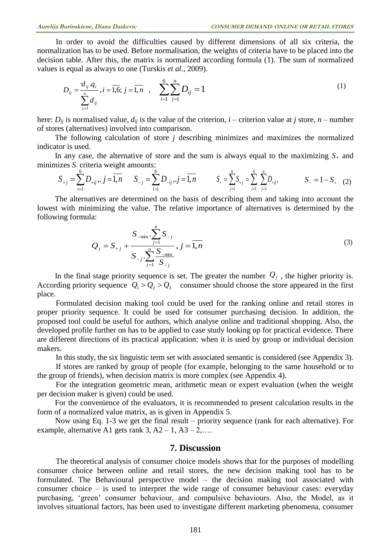In order to avoid the difficulties caused by different dimensions of all six criteria, the hormalization has to be used. Before normalisation, the weights of criteria have to be placed into the decision table. After this, the matrix is normalized according formula (1). The sum of normalized values is equal as always to one (Turskis *et al*., 2009).

$$
D_{ij} = \frac{d_{ij} \cdot q_i}{\sum_{j=1}^n d_{ij}}, i = \overline{1,6}; j = \overline{1,n} \quad , \quad \sum_{i=1}^6 \sum_{j=1}^n D_{ij} = 1
$$
 (1)

here:  $D_{ij}$  is normalised value,  $d_{ij}$  is the value of the criterion, *i* – criterion value at *j* store, *n* – number of stores (alternatives) involved into comparison.

The following calculation of store *j* describing minimizes and maximizes the normalized indicator is used.

In any case, the alternative of store and the sum is always equal to the maximizing  $S<sub>+</sub>$  and minimizes *S-* criteria weight amounts:

$$
S_{+j} = \sum_{i=1}^{6} D_{+ij}, \quad j = \overline{1,n} \qquad S_{-j} = \sum_{i=1}^{6} D_{-ij}, \quad j = \overline{1,n} \qquad S_{+} = \sum_{j=1}^{n} S_{+j} = \sum_{i=1}^{6} \sum_{j=1}^{n} D_{+ij}, \qquad S_{-} = 1 - S_{+} \quad (2)
$$

The alternatives are determined on the basis of describing them and taking into account the lowest with minimizing the value. The relative importance of alternatives is determined by the following formula:

$$
Q_{j} = S_{+j} + \frac{S_{-\min} \cdot \sum_{j=1}^{n} S_{-j}}{S_{-j} \cdot \sum_{j=1}^{n} \frac{S_{-\min}}{S_{-j}}}, j = \overline{1, n}
$$
\n(3)

In the final stage priority sequence is set. The greater the number  $Q_j$ , the higher priority is. According priority sequence  $Q_1 > Q_2 > Q_3$  consumer should choose the store appeared in the first place.

Formulated decision making tool could be used for the ranking online and retail stores in proper priority sequence. It could be used for consumer purchasing decision. In addition, the proposed tool could be useful for authors, which analyse online and traditional shopping. Also, the developed profile further on has to be applied to case study looking up for practical evidence. There are different directions of its practical application: when it is used by group or individual decision makers.

In this study, the six linguistic term set with associated semantic is considered (see Appendix 3).

If stores are ranked by group of people (for example, belonging to the same household or to the group of friends), when decision matrix is more complex (see Appendix 4).

For the integration geometric mean, arithmetic mean or expert evaluation (when the weight per decision maker is given) could be used.

For the convenience of the evaluators, it is recommended to present calculation results in the form of a normalized value matrix, as is given in Appendix 5.

Now using Eq. 1-3 we get the final result – priority sequence (rank for each alternative). For example, alternative A1 gets rank  $3, A2 - 1, A3 - 2, \ldots$ 

#### **7. Discussion**

The theoretical analysis of consumer choice models shows that for the purposes of modelling consumer choice between online and retail stores, the new decision making tool has to be formulated. The Behavioural perspective model – the decision making tool associated with consumer choice – is used to interpret the wide range of consumer behaviour cases: everyday purchasing, 'green' consumer behaviour, and compulsive behaviours. Also, the Model, as it involves situational factors, has been used to investigate different marketing phenomena, consumer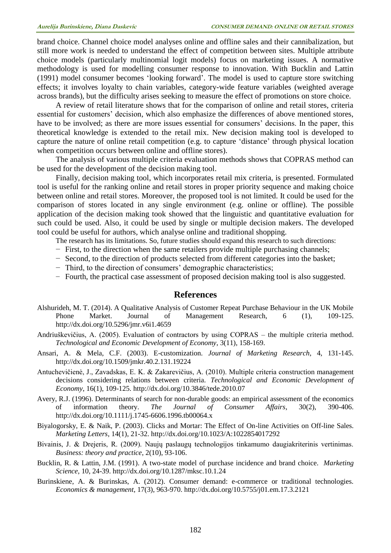brand choice. Channel choice model analyses online and offline sales and their cannibalization, but still more work is needed to understand the effect of competition between sites. Multiple attribute choice models (particularly multinomial logit models) focus on marketing issues. A normative methodology is used for modelling consumer response to innovation. With Bucklin and Lattin (1991) model consumer becomes 'looking forward'. The model is used to capture store switching effects; it involves loyalty to chain variables, category-wide feature variables (weighted average across brands), but the difficulty arises seeking to measure the effect of promotions on store choice.

A review of retail literature shows that for the comparison of online and retail stores, criteria essential for customers' decision, which also emphasize the differences of above mentioned stores, have to be involved; as there are more issues essential for consumers' decisions. In the paper, this theoretical knowledge is extended to the retail mix. New decision making tool is developed to capture the nature of online retail competition (e.g. to capture 'distance' through physical location when competition occurs between online and offline stores).

The analysis of various multiple criteria evaluation methods shows that COPRAS method can be used for the development of the decision making tool.

Finally, decision making tool, which incorporates retail mix criteria, is presented. Formulated tool is useful for the ranking online and retail stores in proper priority sequence and making choice between online and retail stores. Moreover, the proposed tool is not limited. It could be used for the comparison of stores located in any single environment (e.g. online or offline). The possible application of the decision making took showed that the linguistic and quantitative evaluation for such could be used. Also, it could be used by single or multiple decision makers. The developed tool could be useful for authors, which analyse online and traditional shopping.

The research has its limitations. So, future studies should expand this research to such directions:

- − First, to the direction when the same retailers provide multiple purchasing channels;
- − Second, to the direction of products selected from different categories into the basket;
- − Third, to the direction of consumers' demographic characteristics;
- − Fourth, the practical case assessment of proposed decision making tool is also suggested.

#### **References**

- Alshurideh, M. T. (2014). A Qualitative Analysis of Customer Repeat Purchase Behaviour in the UK Mobile Phone Market. Journal of Management Research, 6 (1), 109-125. <http://dx.doi.org/10.5296/jmr.v6i1.4659>
- Andriuškevičius, A. (2005). Evaluation of contractors by using COPRAS the multiple criteria method. *Technological and Economic Development of Economy*, 3(11), 158-169.
- Ansari, A. & Mela, C.F. (2003). E-customization. *Journal of Marketing Research*, 4, 131-145. <http://dx.doi.org/10.1509/jmkr.40.2.131.19224>
- Antuchevičienė, J., Zavadskas, E. K. & Zakarevičius, A. (2010). Multiple criteria construction management decisions considering relations between criteria. *Technological and Economic Development of Economy*, 16(1), 109-125. <http://dx.doi.org/10.3846/tede.2010.07>
- Avery, R.J. (1996). Determinants of search for non-durable goods: an empirical assessment of the economics of information theory. *The Journal of Consumer Affairs*, 30(2), 390-406. <http://dx.doi.org/10.1111/j.1745-6606.1996.tb00064.x>
- Biyalogorsky, E. & Naik, P. (2003). Clicks and Mortar: The Effect of On-line Activities on Off-line Sales. *Marketing Letters*, 14(1), 21-32.<http://dx.doi.org/10.1023/A:1022854017292>
- Bivainis, J. & Drejeris, R. (2009). Naujų paslaugų technologijos tinkamumo daugiakriterinis vertinimas. *Business: theory and practice*, 2(10), 93-106.
- Bucklin, R. & Lattin, J.M. (1991). A two-state model of purchase incidence and brand choice. *Marketing Science*, 10, 24-39. <http://dx.doi.org/10.1287/mksc.10.1.24>
- Burinskiene, A. & Burinskas, A. (2012). Consumer demand: e-commerce or traditional technologies. *Economics & management*, 17(3), 963-970. <http://dx.doi.org/10.5755/j01.em.17.3.2121>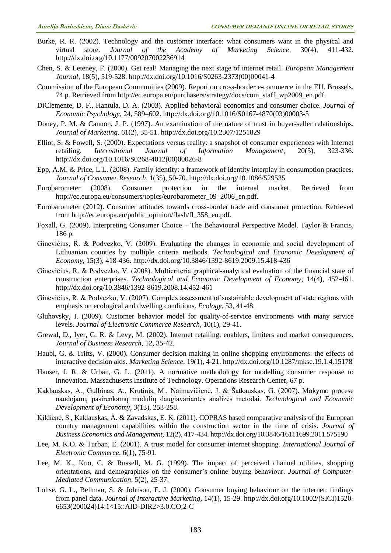- Burke, R. R. (2002). Technology and the customer interface: what consumers want in the physical and virtual store. *Journal of the Academy of Marketing Science*, 30(4), 411-432. <http://dx.doi.org/10.1177/009207002236914>
- Chen, S. & Leteney, F. (2000). Get real! Managing the next stage of internet retail. *European Management Journal*, 18(5), 519-528. [http://dx.doi.org/10.1016/S0263-2373\(00\)00041-4](http://dx.doi.org/10.1016/S0263-2373(00)00041-4)
- Commission of the European Communities (2009). Report on cross-border e-commerce in the EU. Brussels, 74 p. Retrieved from http://ec.europa.eu/purchasers/strategy/docs/com\_staff\_wp2009\_en.pdf.
- DiClemente, D. F., Hantula, D. A. (2003). Applied behavioral economics and consumer choice. *Journal of Economic Psychology*, 24, 589–602. [http://dx.doi.org/10.1016/S0167-4870\(03\)00003-5](http://dx.doi.org/10.1016/S0167-4870(03)00003-5)
- Doney, P. M. & Cannon, J. P. (1997). An examination of the nature of trust in buyer-seller relationships. *Journal of Marketing*, 61(2), 35-51. <http://dx.doi.org/10.2307/1251829>
- Elliot, S. & Fowell, S. (2000). Expectations versus reality: a snapshot of consumer experiences with Internet retailing. *International Journal of Information Management*, 20(5), 323-336. [http://dx.doi.org/10.1016/S0268-4012\(00\)00026-8](http://dx.doi.org/10.1016/S0268-4012(00)00026-8)
- Epp, A.M. & Price, L.L. (2008). Family identity: a framework of identity interplay in consumption practices. *Journal of Consumer Research*, 1(35), 50-70. <http://dx.doi.org/10.1086/529535>
- Eurobarometer (2008). Consumer protection in the internal market. Retrieved from [http://ec.europa.eu/consumers/topics/eurobarometer\\_09–2006\\_en.pdf.](http://ec.europa.eu/consumers/topics/eurobarometer_09–2006_en.pdf)
- Eurobarometer (2012). Consumer attitudes towards cross-border trade and consumer protection. Retrieved from http://ec.europa.eu/public\_opinion/flash/fl\_358\_en.pdf.
- Foxall, G. (2009). Interpreting Consumer Choice The Behavioural Perspective Model. Taylor & Francis, 186 p.
- Ginevičius, R. & Podvezko, V. (2009). Evaluating the changes in economic and social development of Lithuanian counties by multiple criteria methods. *Technological and Economic Development of Economy*, 15(3), 418-436. <http://dx.doi.org/10.3846/1392-8619.2009.15.418-436>
- Ginevičius, R. & Podvezko, V. (2008). Multicriteria graphical-analytical evaluation of the financial state of construction enterprises. *Technological and Economic Development of Economy*, 14(4), 452-461. <http://dx.doi.org/10.3846/1392-8619.2008.14.452-461>
- Ginevičius, R. & Podvezko, V. (2007). Complex assessment of sustainable development of state regions with emphasis on ecological and dwelling conditions. *Ecology*, 53, 41-48.
- Gluhovsky, I. (2009). Customer behavior model for quality-of-service environments with many service levels. *Journal of Electronic Commerce Research*, 10(1), 29-41.
- Grewal, D., Iyer, G. R. & Levy, M. (2002). Internet retailing: enablers, limiters and market consequences. *Journal of Business Research*, 12, 35-42.
- Haubl, G. & Trifts, V. (2000). Consumer decision making in online shopping environments: the effects of interactive decision aids. *Marketing Science*, 19(1), 4-21. <http://dx.doi.org/10.1287/mksc.19.1.4.15178>
- Hauser, J. R. & Urban, G. L. (2011). A normative methodology for modelling consumer response to innovation. Massachusetts Institute of Technology. Operations Research Center, 67 p.
- Kaklauskas, A., Gulbinas, A., Krutinis, M., Naimavičienė, J. & Šatkauskas, G. (2007). Mokymo procese naudojamų pasirenkamų modulių daugiavariantės analizės metodai. *Technological and Economic Development of Economy*, 3(13), 253-258.
- Kildienė, S., Kaklauskas, A. & Zavadskas, E. K. (2011). COPRAS based comparative analysis of the European country management capabilities within the construction sector in the time of crisis. *Journal of Business Economics and Management*, 12(2), 417-434. <http://dx.doi.org/10.3846/16111699.2011.575190>
- Lee, M. K.O. & Turban, E. (2001). A trust model for consumer internet shopping. *International Journal of Electronic Commerce*, 6(1), 75-91.
- Lee, M. K., Kuo, C. & Russell, M. G. (1999). The impact of perceived channel utilities, shopping orientations, and demographics on the consumer's online buying behaviour. *Journal of Computer-Mediated Communication*, 5(2), 25-37.
- Lohse, G. L., Bellman, S. & Johnson, E. J. (2000). Consumer buying behaviour on the internet: findings from panel data. *Journal of Interactive Marketing*, 14(1), 15-29. [http://dx.doi.org/10.1002/\(SICI\)1520-](http://dx.doi.org/10.1002/(SICI)1520-6653(200024)14:1%3C15::AID-DIR2%3E3.0.CO;2-C) [6653\(200024\)14:1<15::AID-DIR2>3.0.CO;2-C](http://dx.doi.org/10.1002/(SICI)1520-6653(200024)14:1%3C15::AID-DIR2%3E3.0.CO;2-C)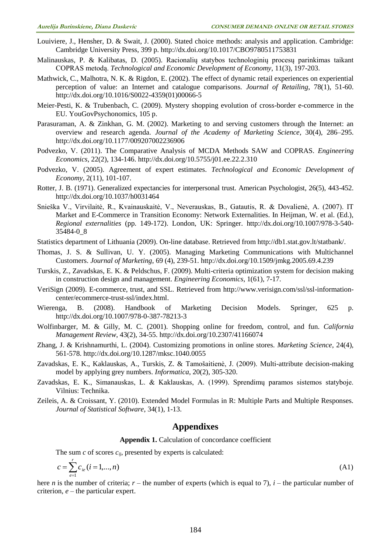- Louiviere, J., Hensher, D. & Swait, J. (2000). Stated choice methods: analysis and application. Cambridge: Cambridge University Press, 399 p. <http://dx.doi.org/10.1017/CBO9780511753831>
- Malinauskas, P. & Kalibatas, D. (2005). Racionalių statybos technologinių procesų parinkimas taikant COPRAS metodą. *Technological and Economic Development of Economy*, 11(3), 197-203.
- Mathwick, C., Malhotra, N. K. & Rigdon, E. (2002). The effect of dynamic retail experiences on experiential perception of value: an Internet and catalogue comparisons. *Journal of Retailing*, 78(1), 51-60. [http://dx.doi.org/10.1016/S0022-4359\(01\)00066-5](http://dx.doi.org/10.1016/S0022-4359(01)00066-5)
- Meier-Pesti, K. & Trubenbach, C. (2009). Mystery shopping evolution of cross-border e-commerce in the EU. YouGovPsychonomics, 105 p.
- Parasuraman, A. & Zinkhan, G. M. (2002). Marketing to and serving customers through the Internet: an overview and research agenda. *Journal of the Academy of Marketing Science*, 30(4), 286–295. <http://dx.doi.org/10.1177/009207002236906>
- Podvezko, V. (2011). The Comparative Analysis of MCDA Methods SAW and COPRAS. *Engineering Economics*, 22(2), 134-146. <http://dx.doi.org/10.5755/j01.ee.22.2.310>
- Podvezko, V. (2005). Agreement of expert estimates. *Technological and Economic Development of Economy*, 2(11), 101-107.
- Rotter, J. B. (1971). Generalized expectancies for interpersonal trust. American Psychologist, 26(5), 443-452. <http://dx.doi.org/10.1037/h0031464>
- Snieška V., Virvilaitė, R., Kvainauskaitė, V., Neverauskas, B., Gatautis, R. & Dovalienė, A. (2007). IT Market and E-Commerce in Transition Economy: Network Externalities. In Heijman, W. et al. (Ed.), *Regional externalities* (pp. 149-172). London, UK: Springer. [http://dx.doi.org/10.1007/978-3-540-](http://dx.doi.org/10.1007/978-3-540-35484-0_8) [35484-0\\_8](http://dx.doi.org/10.1007/978-3-540-35484-0_8)
- Statistics department of Lithuania (2009). On-line database. Retrieved from http://db1.stat.gov.lt/statbank/.
- Thomas, J. S. & Sullivan, U. Y. (2005). Managing Marketing Communications with Multichannel Customers. *Journal of Marketing*, 69 (4), 239-51.<http://dx.doi.org/10.1509/jmkg.2005.69.4.239>
- Turskis, Z., Zavadskas, E. K. & Peldschus, F. (2009). Multi-criteria optimization system for decision making in construction design and management. *Engineering Economics*, 1(61), 7-17.
- VeriSign (2009). E-commerce, trust, and SSL. Retrieved from http://www.verisign.com/ssl/ssl-informationcenter/ecommerce-trust-ssl/index.html.
- Wierenga, B. (2008). Handbook of Marketing Decision Models. Springer, 625 p. <http://dx.doi.org/10.1007/978-0-387-78213-3>
- Wolfinbarger, M. & Gilly, M. C. (2001). Shopping online for freedom, control, and fun. *California Management Review*, 43(2), 34-55. <http://dx.doi.org/10.2307/41166074>
- Zhang, J. & Krishnamurthi, L. (2004). Customizing promotions in online stores. *Marketing Science*, 24(4), 561-578. <http://dx.doi.org/10.1287/mksc.1040.0055>
- Zavadskas, E. K., Kaklauskas, A., Turskis, Z. & Tamošaitienė, J. (2009). Multi-attribute decision-making model by applying grey numbers. *Informatica*, 20(2), 305-320.
- Zavadskas, E. K., Simanauskas, L. & Kaklauskas, A. (1999). Sprendimų paramos sistemos statyboje. Vilnius: Technika.
- Zeileis, A. & Croissant, Y. (2010). Extended Model Formulas in R: Multiple Parts and Multiple Responses. *Journal of Statistical Software*, 34(1), 1-13.

## **Appendixes**

#### **Appendix 1.** Calculation of concordance coefficient

The sum *c* of scores *cij*, presented by experts is calculated:

$$
c = \sum_{i=1}^{r} c_{ie} (i = 1, ..., n)
$$
\n(A1)

here *n* is the number of criteria;  $r$  – the number of experts (which is equal to 7),  $i$  – the particular number of criterion, *e* – the particular expert.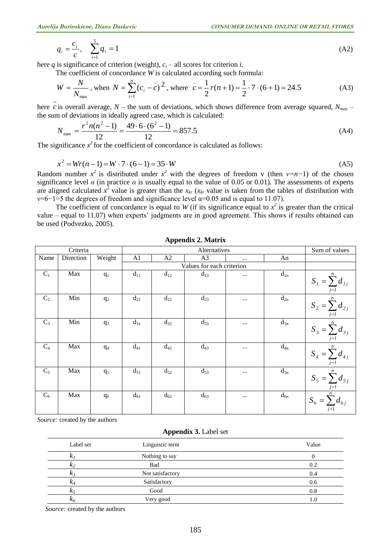$$
q_i = \frac{c_i}{c}, \quad \sum_{i=1}^{5} q_i = 1 \tag{A2}
$$

here *q* is significance of criterion (weight),  $c_i$  – all scores for criterion *i*.

The coefficient of concordance *W* is calculated according such formula:

$$
W = \frac{N}{N_{\text{max}}}, \text{ when } N = \sum_{i=1}^{n} (c_i - \bar{c})^2, \text{ where } \bar{c} = \frac{1}{2} r(n+1) = \frac{1}{2} \cdot 7 \cdot (6+1) = 24.5
$$
 (A3)

here *c* is overall average, *N* – the sum of deviations, which shows difference from average squared, *Nmax* – the sum of deviations in ideally agreed case, which is calculated:

$$
N_{\text{max}} = \frac{r^2 n(n^2 - 1)}{12} = \frac{49 \cdot 6 \cdot (6^2 - 1)}{12} = 857.5
$$
 (A4)

The significance  $x^2$  for the coefficient of concordance is calculated as follows:

$$
x^{2} = Wr(n-1) = W \cdot 7 \cdot (6-1) = 35 \cdot W
$$
\n(A5)

Random number  $x^2$  is distributed under  $x^2$  with the degrees of freedom v (then  $v=n-1$ ) of the chosen significance level  $\alpha$  (in practice  $\alpha$  is usually equal to the value of 0.05 or 0.01). The assessments of experts are aligned calculated  $x^2$  value is greater than the  $x_{kr}$  ( $x_{kr}$  value is taken from the tables of distribution with v=6−1=5 the degrees of freedom and significance level  $\alpha$ =0.05 and is equal to 11.07).

The coefficient of concordance is equal to *W* (if its significance equal to  $x^2$  is greater than the critical value – equal to 11.07) when experts' judgments are in good agreement. This shows if results obtained can be used (Podvezko, 2005).

|                | Criteria  |                |                | Sum of values |                |           |          |                                 |
|----------------|-----------|----------------|----------------|---------------|----------------|-----------|----------|---------------------------------|
| Name           | Direction | Weight         | A <sub>1</sub> | A2            | A <sub>3</sub> | $\cdots$  | An       |                                 |
|                |           |                |                |               |                |           |          |                                 |
| $C_1$          | Max       | q <sub>1</sub> | $d_{11}$       | $d_{12}$      | $d_{13}$       | $\cdots$  | $d_{1n}$ | $S_{I} = \sum_{j=1}^{n} d_{Ij}$ |
| C <sub>2</sub> | Min       | $q_2$          | $d_{21}$       | $d_{22}$      | $d_{23}$       | $\cdots$  | $d_{2n}$ | $S_2 = \sum_{j=1}^{n} d_{2j}$   |
| $C_3$          | Min       | $q_3$          | $d_{31}$       | $d_{32}$      | $d_{33}$       | $\cdots$  | $d_{3n}$ | $S_3 = \sum_{j=1}^{n} d_{3j}$   |
| $C_4$          | Max       | $q_4$          | $d_{41}$       | $d_{42}$      | $d_{43}$       | $\cdots$  | $d_{4n}$ | $S_4 = \sum_{j=1}^{n} d_{4j}$   |
| $C_5$          | Max       | q <sub>5</sub> | $d_{51}$       | $d_{52}$      | $d_{53}$       | $\ddotsc$ | $d_{5n}$ | $S_{5} = \sum_{j=1}^{n} d_{5j}$ |
| $C_6$          | Max       | $q_6$          | $d_{61}$       | $d_{62}$      | $d_{63}$       | $\cdots$  | $d_{6n}$ | $S_6 = \sum_{i=1}^{n} d_{6i}$   |

**Appendix 2. Matrix**

*Source:* created by the authors

#### **Appendix 3.** Label set

| Label set  | Linguistic term  | Value   |
|------------|------------------|---------|
| r.         | Nothing to say   |         |
| $\kappa_2$ | Bad              | 0.2     |
| $\kappa_3$ | Not satisfactory | 0.4     |
| $\kappa_4$ | Satisfactory     | 0.6     |
| $K_5$      | Good             | 0.8     |
| $k_6$      | Very good        | $1.0\,$ |

 *Source:* created by the authors